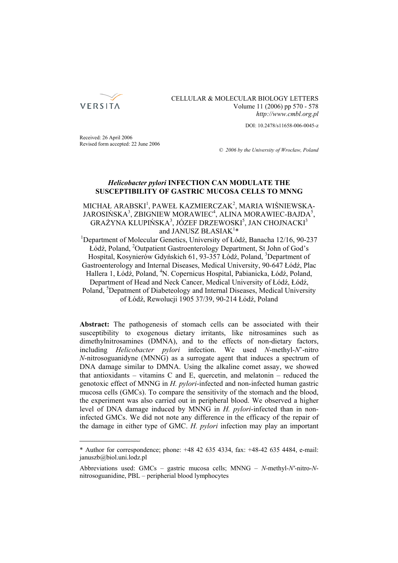

## CELLULAR & MOLECULAR BIOLOGY LETTERS Volume 11 (2006) pp 570 - 578 *http://www.cmbl.org.pl*

DOI: 10.2478/s11658-006-0045-z

Received: 26 April 2006 Revised form accepted: 22 June 2006

*© 2006 by the University of Wrocław, Poland*

# *Helicobacter pylori* **INFECTION CAN MODULATE THE SUSCEPTIBILITY OF GASTRIC MUCOSA CELLS TO MNNG**

# MICHAŁ ARABSKI<sup>1</sup>, PAWEŁ KAZMIERCZAK<sup>2</sup>, MARIA WIŚNIEWSKA- $JAROSI$ ŃSKA $^3$ , ZBIGNIEW MORAWIEC $^4$ , ALINA MORAWIEC-BAJDA $^5$ ,  $GRAŽYNA KLUPIÑSKA<sup>3</sup>, JÓZEF DRZEWOSKI<sup>5</sup>, JAN CHOJNACKI<sup>3</sup>$ and JANUSZ BŁASIAK<sup>1\*</sup>

and JANUSZ BŁASIAK<sup>1\*</sup><br><sup>1</sup>Department of Molecular Genetics, University of Łódź, Banacha 12/16, 90-237 Łódź, Poland, <sup>2</sup> Outpatient Gastroenterology Department, St John of God's Hospital, Kosynierów Gdyńskich 61, 93-357 Łódź, Poland, <sup>3</sup>Department of Gastroenterology and Internal Diseases, Medical University, 90-647 Łódź, Plac Hallera 1, Łódź, Poland, <sup>4</sup>N. Copernicus Hospital, Pabianicka, Łódź, Poland, Department of Head and Neck Cancer, Medical University of Łódź, Łódź, Poland, <sup>5</sup>Depatment of Diabeteology and Internal Diseases, Medical University of Łódź, Rewolucji 1905 37/39, 90-214 Łódź, Poland

**Abstract:** The pathogenesis of stomach cells can be associated with their susceptibility to exogenous dietary irritants, like nitrosamines such as dimethylnitrosamines (DMNA), and to the effects of non-dietary factors, including *Helicobacter pylori* infection. We used *N*-methyl-*N*'-nitro *N*-nitrosoguanidyne (MNNG) as a surrogate agent that induces a spectrum of DNA damage similar to DMNA. Using the alkaline comet assay, we showed that antioxidants – vitamins C and E, quercetin, and melatonin – reduced the genotoxic effect of MNNG in *H. pylori*-infected and non-infected human gastric mucosa cells (GMCs). To compare the sensitivity of the stomach and the blood, the experiment was also carried out in peripheral blood. We observed a higher level of DNA damage induced by MNNG in *H. pylori*-infected than in noninfected GMCs. We did not note any difference in the efficacy of the repair of the damage in either type of GMC. *H. pylori* infection may play an important

<sup>\*</sup> Author for correspondence; phone: +48 42 635 4334, fax: +48-42 635 4484, e-mail: januszb@biol.uni.lodz.pl

Abbreviations used: GMCs – gastric mucosa cells; MNNG *– N*-methyl-*N'*-nitro-*N*nitrosoguanidine, PBL – peripherial blood lymphocytes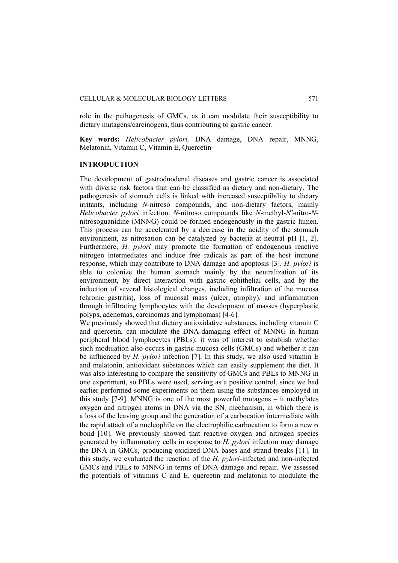role in the pathogenesis of GMCs, as it can modulate their susceptibility to dietary mutagens/carcinogens, thus contributing to gastric cancer.

**Key words:** *Helicobacter pylori,* DNA damage, DNA repair, MNNG, Melatonin, Vitamin C, Vitamin E, Quercetin

# **INTRODUCTION**

The development of gastroduodenal diseases and gastric cancer is associated with diverse risk factors that can be classified as dietary and non-dietary. The pathogenesis of stomach cells is linked with increased susceptibility to dietary irritants, including *N*-nitroso compounds, and non-dietary factors, mainly *Helicobacter pylori* infection. *N*-nitroso compounds like *N*-methyl-*N'*-nitro-*N*nitrosoguanidine (MNNG) could be formed endogenously in the gastric lumen. This process can be accelerated by a decrease in the acidity of the stomach environment, as nitrosation can be catalyzed by bacteria at neutral pH [1, 2]. Furthermore, *H. pylori* may promote the formation of endogenous reactive nitrogen intermediates and induce free radicals as part of the host immune response, which may contribute to DNA damage and apoptosis [3]. *H. pylori* is able to colonize the human stomach mainly by the neutralization of its environment, by direct interaction with gastric ephithelial cells, and by the induction of several histological changes, including infiltration of the mucosa (chronic gastritis), loss of mucosal mass (ulcer, atrophy), and inflammation through infiltrating lymphocytes with the development of masses (hyperplastic polyps, adenomas, carcinomas and lymphomas) [4-6].

We previously showed that dietary antioxidative substances, including vitamin C and quercetin, can modulate the DNA-damaging effect of MNNG in human peripheral blood lymphocytes (PBLs); it was of interest to establish whether such modulation also occurs in gastric mucosa cells (GMCs) and whether it can be influenced by *H. pylori* infection [7]. In this study, we also used vitamin E and melatonin, antioxidant substances which can easily supplement the diet. It was also interesting to compare the sensitivity of GMCs and PBLs to MNNG in one experiment, so PBLs were used, serving as a positive control, since we had earlier performed some experiments on them using the substances employed in this study [7-9]. MNNG is one of the most powerful mutagens – it methylates oxygen and nitrogen atoms in DNA via the  $SN_1$  mechanism, in which there is a loss of the leaving group and the generation of a carbocation intermediate with the rapid attack of a nucleophile on the electrophilic carbocation to form a new  $\sigma$ bond [10]. We previously showed that reactive oxygen and nitrogen species generated by inflammatory cells in response to *H. pylori* infection may damage the DNA in GMCs, producing oxidized DNA bases and strand breaks [11]. In this study, we evaluated the reaction of the *H. pylori*-infected and non-infected GMCs and PBLs to MNNG in terms of DNA damage and repair. We assessed the potentials of vitamins C and E, quercetin and melatonin to modulate the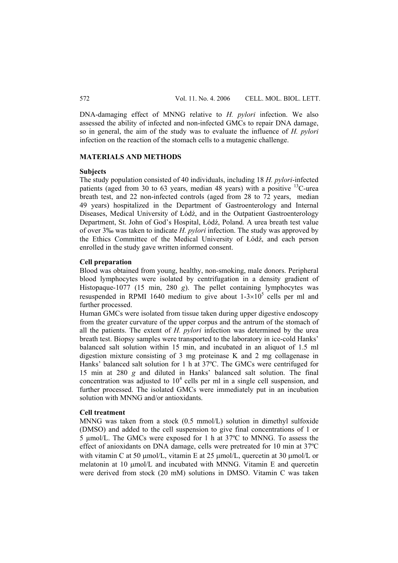DNA-damaging effect of MNNG relative to *H. pylori* infection. We also assessed the ability of infected and non-infected GMCs to repair DNA damage, so in general, the aim of the study was to evaluate the influence of *H. pylori* infection on the reaction of the stomach cells to a mutagenic challenge.

## **MATERIALS AND METHODS**

### **Subjects**

The study population consisted of 40 individuals, including 18 *H. pylori*-infected patients (aged from 30 to 63 years, median 48 years) with a positive  $^{13}$ C-urea breath test, and 22 non-infected controls (aged from 28 to 72 years, median 49 years) hospitalized in the Department of Gastroenterology and Internal Diseases, Medical University of Łódź, and in the Outpatient Gastroenterology Department, St. John of God's Hospital, Łódź, Poland. A urea breath test value of over 3‰ was taken to indicate *H. pylori* infection. The study was approved by the Ethics Committee of the Medical University of Łódź, and each person enrolled in the study gave written informed consent.

### **Cell preparation**

Blood was obtained from young, healthy, non-smoking, male donors. Peripheral blood lymphocytes were isolated by centrifugation in a density gradient of Histopaque-1077 (15 min, 280 *g*). The pellet containing lymphocytes was resuspended in RPMI 1640 medium to give about  $1-3\times10^5$  cells per ml and further processed.

Human GMCs were isolated from tissue taken during upper digestive endoscopy from the greater curvature of the upper corpus and the antrum of the stomach of all the patients. The extent of *H. pylori* infection was determined by the urea breath test. Biopsy samples were transported to the laboratory in ice-cold Hanks' balanced salt solution within 15 min, and incubated in an aliquot of 1.5 ml digestion mixture consisting of 3 mg proteinase K and 2 mg collagenase in Hanks' balanced salt solution for 1 h at 37ºC. The GMCs were centrifuged for 15 min at 280 *g* and diluted in Hanks' balanced salt solution. The final concentration was adjusted to  $10<sup>4</sup>$  cells per ml in a single cell suspension, and further processed. The isolated GMCs were immediately put in an incubation solution with MNNG and/or antioxidants.

### **Cell treatment**

MNNG was taken from a stock (0.5 mmol/L) solution in dimethyl sulfoxide (DMSO) and added to the cell suspension to give final concentrations of 1 or 5 µmol/L. The GMCs were exposed for 1 h at 37ºC to MNNG. To assess the effect of anioxidants on DNA damage, cells were pretreated for 10 min at 37ºC with vitamin C at 50 μmol/L, vitamin E at 25 μmol/L, quercetin at 30 μmol/L or melatonin at 10 μmol/L and incubated with MNNG. Vitamin E and quercetin were derived from stock (20 mM) solutions in DMSO. Vitamin C was taken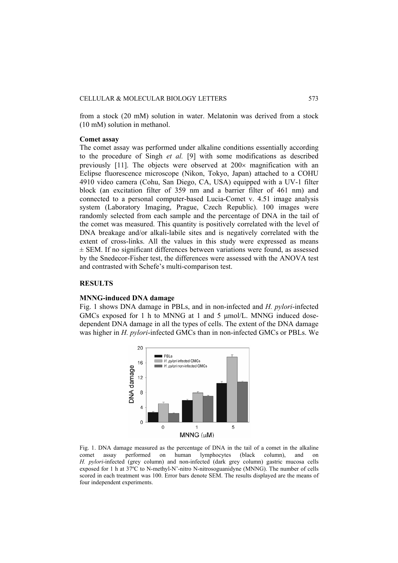from a stock (20 mM) solution in water. Melatonin was derived from a stock (10 mM) solution in methanol.

#### **Comet assay**

The comet assay was performed under alkaline conditions essentially according to the procedure of Singh *et al.* [9] with some modifications as described previously  $[11]$ . The objects were observed at  $200 \times$  magnification with an Eclipse fluorescence microscope (Nikon, Tokyo, Japan) attached to a COHU 4910 video camera (Cohu, San Diego, CA, USA) equipped with a UV-1 filter block (an excitation filter of 359 nm and a barrier filter of 461 nm) and connected to a personal computer-based Lucia-Comet v. 4.51 image analysis system (Laboratory Imaging, Prague, Czech Republic). 100 images were randomly selected from each sample and the percentage of DNA in the tail of the comet was measured. This quantity is positively correlated with the level of DNA breakage and/or alkali-labile sites and is negatively correlated with the extent of cross-links. All the values in this study were expressed as means  $\pm$  SEM. If no significant differences between variations were found, as assessed by the Snedecor-Fisher test, the differences were assessed with the ANOVA test and contrasted with Schefe's multi-comparison test.

### **RESULTS**

#### **MNNG-induced DNA damage**

Fig. 1 shows DNA damage in PBLs, and in non-infected and *H. pylori*-infected GMCs exposed for 1 h to MNNG at 1 and 5 μmol/L. MNNG induced dosedependent DNA damage in all the types of cells. The extent of the DNA damage was higher in *H. pylori*-infected GMCs than in non-infected GMCs or PBLs. We



Fig. 1. DNA damage measured as the percentage of DNA in the tail of a comet in the alkaline comet assay performed on human lymphocytes (black column), and on *H. pylori*-infected (grey column) and non-infected (dark grey column) gastric mucosa cells exposed for 1 h at 37ºC to N-methyl-N'-nitro N-nitrosoguanidyne (MNNG). The number of cells scored in each treatment was 100. Error bars denote SEM. The results displayed are the means of four independent experiments.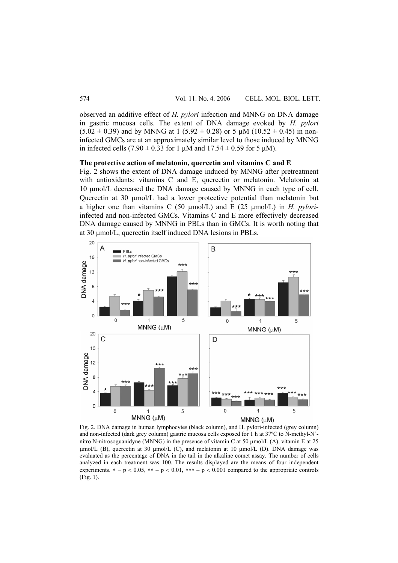observed an additive effect of *H. pylori* infection and MNNG on DNA damage in gastric mucosa cells. The extent of DNA damage evoked by *H. pylori*   $(5.02 \pm 0.39)$  and by MNNG at 1 (5.92  $\pm$  0.28) or 5 µM (10.52  $\pm$  0.45) in noninfected GMCs are at an approximately similar level to those induced by MNNG in infected cells  $(7.90 \pm 0.33$  for 1  $\mu$ M and  $17.54 \pm 0.59$  for 5  $\mu$ M).

#### **The protective action of melatonin, quercetin and vitamins C and E**

Fig. 2 shows the extent of DNA damage induced by MNNG after pretreatment with antioxidants: vitamins C and E, quercetin or melatonin. Melatonin at 10 μmol/L decreased the DNA damage caused by MNNG in each type of cell. Quercetin at 30 μmol/L had a lower protective potential than melatonin but a higher one than vitamins C (50 μmol/L) and E (25 μmol/L) in *H. pylori*infected and non-infected GMCs. Vitamins C and E more effectively decreased DNA damage caused by MNNG in PBLs than in GMCs. It is worth noting that at 30 μmol/L, quercetin itself induced DNA lesions in PBLs.



Fig. 2. DNA damage in human lymphocytes (black column), and H. pylori-infected (grey column) and non-infected (dark grey column) gastric mucosa cells exposed for 1 h at 37ºC to N-methyl-N' nitro N-nitrosoguanidyne (MNNG) in the presence of vitamin C at 50 μmol/L (A), vitamin E at 25 μmol/L (B), quercetin at 30 μmol/L (C), and melatonin at 10 μmol/L (D). DNA damage was evaluated as the percentage of DNA in the tail in the alkaline comet assay. The number of cells analyzed in each treatment was 100. The results displayed are the means of four independent experiments.  $* - p < 0.05$ ,  $** - p < 0.01$ ,  $*** - p < 0.001$  compared to the appropriate controls (Fig. 1).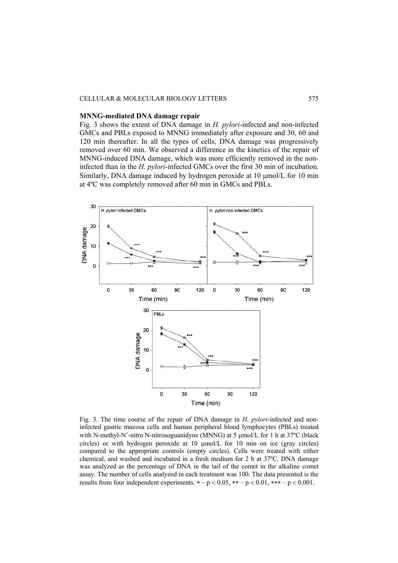#### CELLULAR & MOLECULAR BIOLOGY LETTERS 575

### **MNNG-mediated DNA damage repair**

Fig. 3 shows the extent of DNA damage in *H. pylori*-infected and non-infected GMCs and PBLs exposed to MNNG immediately after exposure and 30, 60 and 120 min thereafter. In all the types of cells, DNA damage was progressively removed over 60 min. We observed a difference in the kinetics of the repair of MNNG-induced DNA damage, which was more efficiently removed in the noninfected than in the *H. pylori*-infected GMCs over the first 30 min of incubation. Similarly, DNA damage induced by hydrogen peroxide at 10 μmol/L for 10 min at 4ºC was completely removed after 60 min in GMCs and PBLs.



Fig. 3. The time course of the repair of DNA damage in *H. pylori*-infected and noninfected gastric mucosa cells and human peripheral blood lymphocytes (PBLs) treated with N-methyl-N'-nitro N-nitrosoguanidyne (MNNG) at 5 μmol/L for 1 h at 37ºC (black circles) or with hydrogen peroxide at 10 μmol/L for 10 min on ice (gray circles) compared to the appropriate controls (empty circles). Cells were treated with either chemical, and washed and incubated in a fresh medium for 2 h at 37ºC. DNA damage was analyzed as the percentage of DNA in the tail of the comet in the alkaline comet assay. The number of cells analyzed in each treatment was 100. The data presented is the results from four independent experiments.  $* - p < 0.05$ ,  $** - p < 0.01$ ,  $*** - p < 0.001$ .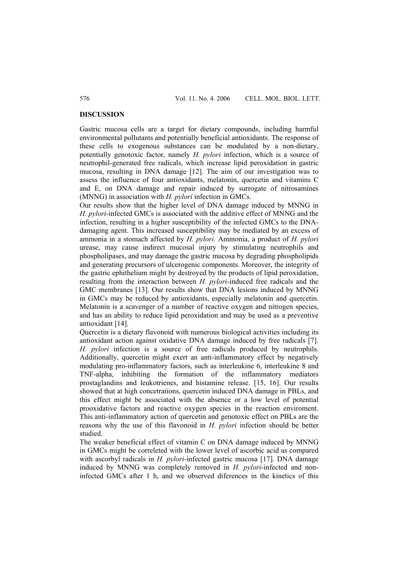### **DISCUSSION**

Gastric mucosa cells are a target for dietary compounds, including harmful environmental pollutants and potentially beneficial antioxidants. The response of these cells to exogenous substances can be modulated by a non-dietary, potentially genotoxic factor, namely *H. pylori* infection, which is a source of neutrophil-generated free radicals, which increase lipid peroxidation in gastric mucosa, resulting in DNA damage [12]. The aim of our investigation was to assess the influence of four antioxidants, melatonin, quercetin and vitamins C and E, on DNA damage and repair induced by surrogate of nitrosamines (MNNG) in association with *H. pylori* infection in GMCs.

Our results show that the higher level of DNA damage induced by MNNG in *H. pylori*-infected GMCs is associated with the additive effect of MNNG and the infection, resulting in a higher susceptibility of the infected GMCs to the DNAdamaging agent. This increased susceptibility may be mediated by an excess of ammonia in a stomach affected by *H. pylori.* Ammonia, a product of *H. pylori*  urease, may cause indirect mucosal injury by stimulating neutrophils and phospholipases, and may damage the gastric mucosa by degrading phospholipids and generating precursors of ulcerogenic components. Moreover, the integrity of the gastric ephithelium might by destroyed by the products of lipid peroxidation, resulting from the interaction between *H. pylori*-induced free radicals and the GMC membranes [13]. Our results show that DNA lesions induced by MNNG in GMCs may be reduced by antioxidants, especially melatonin and quercetin. Melatonin is a scavenger of a number of reactive oxygen and nitrogen species, and has an ability to reduce lipid peroxidation and may be used as a preventive antioxidant [14].

Quercetin is a dietary flavonoid with numerous biological activities including its antioxidant action against oxidative DNA damage induced by free radicals [7]. *H. pylori* infection is a source of free radicals produced by neutrophils. Additionally, quercetin might exert an anti-inflammatory effect by negatively modulating pro-inflammatory factors, such as interleukine 6, interleukine 8 and TNF-alpha, inhibiting the formation of the inflammatory mediators prostaglandins and leukotrienes, and histamine release. [15, 16]. Our results showed that at high concetrations, quercetin induced DNA damage in PBLs, and this effect might be associated with the absence or a low level of potential prooxidative factors and reactive oxygen species in the reaction enviroment. This anti-inflammatory action of quercetin and genotoxic effect on PBLs are the reasons why the use of this flavonoid in *H. pylori* infection should be better studied.

The weaker beneficial effect of vitamin C on DNA damage induced by MNNG in GMCs might be correleted with the lower level of ascorbic acid as compared with ascorbyl radicals in *H. pylori*-infected gastric mucosa [17]. DNA damage induced by MNNG was completely removed in *H. pylori*-infected and noninfected GMCs after 1 h, and we observed diferences in the kinetics of this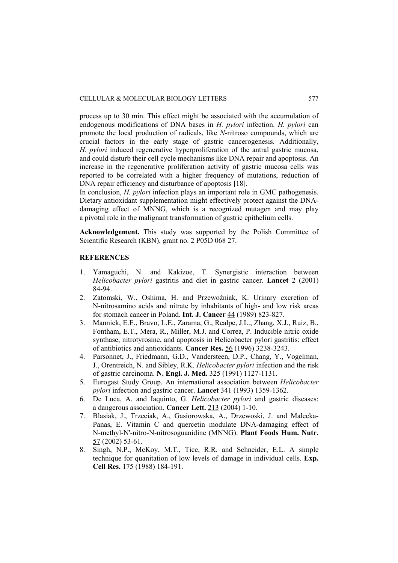process up to 30 min. This effect might be associated with the accumulation of endogenous modifications of DNA bases in *H. pylori* infection. *H. pylori* can promote the local production of radicals, like *N*-nitroso compounds, which are crucial factors in the early stage of gastric cancerogenesis. Additionally, *H. pylori* induced regenerative hyperproliferation of the antral gastric mucosa, and could disturb their cell cycle mechanisms like DNA repair and apoptosis. An increase in the regenerative proliferation activity of gastric mucosa cells was reported to be correlated with a higher frequency of mutations, reduction of DNA repair efficiency and disturbance of apoptosis [18].

In conclusion, *H. pylori* infection plays an important role in GMC pathogenesis. Dietary antioxidant supplementation might effectively protect against the DNAdamaging effect of MNNG, which is a recognized mutagen and may play a pivotal role in the malignant transformation of gastric epithelium cells.

**Acknowledgement.** This study was supported by the Polish Committee of Scientific Research (KBN), grant no. 2 P05D 068 27.

### **REFERENCES**

- 1. Yamaguchi, N. and Kakizoe, T. Synergistic interaction between *Helicobacter pylori* gastritis and diet in gastric cancer. **Lancet** 2 (2001) 84-94.
- 2. Zatomski, W., Oshima, H. and Przewoźniak, K. Urinary excretion of N-nitrosamino acids and nitrate by inhabitants of high- and low risk areas for stomach cancer in Poland. **Int. J. Cancer** 44 (1989) 823-827.
- 3. Mannick, E.E., Bravo, L.E., Zarama, G., Realpe, J.L., Zhang, X.J., Ruiz, B., Fontham, E.T., Mera, R., Miller, M.J. and Correa, P. Inducible nitric oxide synthase, nitrotyrosine, and apoptosis in Helicobacter pylori gastritis: effect of antibiotics and antioxidants. **Cancer Res.** 56 (1996) 3238-3243.
- 4. Parsonnet, J., Friedmann, G.D., Vandersteen, D.P., Chang, Y., Vogelman, J., Orentreich, N. and Sibley, R.K. *Helicobacter pylori* infection and the risk of gastric carcinoma. **N. Engl. J. Med.** 325 (1991) 1127-1131.
- 5. Eurogast Study Group. An international association between *Helicobacter pylori* infection and gastric cancer. **Lancet** 341 (1993) 1359-1362.
- 6. De Luca, A. and Iaquinto, G. *Helicobacter pylori* and gastric diseases: a dangerous association. **Cancer Lett.** 213 (2004) 1-10.
- 7. Blasiak, J., Trzeciak, A., Gasiorowska, A., Drzewoski, J. and Malecka-Panas, E. Vitamin C and quercetin modulate DNA-damaging effect of N-methyl-N'-nitro-N-nitrosoguanidine (MNNG). **Plant Foods Hum. Nutr.** 57 (2002) 53-61.
- 8. Singh, N.P., McKoy, M.T., Tice, R.R. and Schneider, E.L. A simple technique for quanitation of low levels of damage in individual cells. **Exp. Cell Res.** 175 (1988) 184-191.